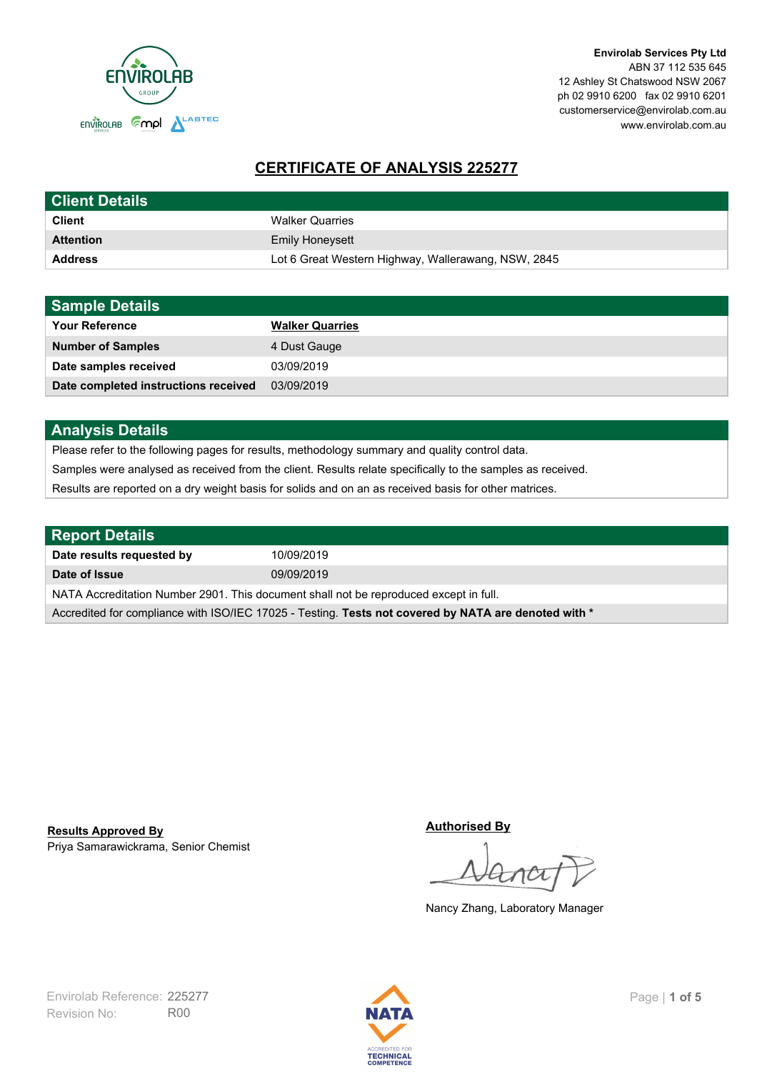

# **CERTIFICATE OF ANALYSIS 225277**

| <b>Client Details</b> |                                                     |
|-----------------------|-----------------------------------------------------|
| <b>Client</b>         | <b>Walker Quarries</b>                              |
| <b>Attention</b>      | <b>Emily Honeysett</b>                              |
| <b>Address</b>        | Lot 6 Great Western Highway, Wallerawang, NSW, 2845 |

| <b>Sample Details</b>                |                        |
|--------------------------------------|------------------------|
| <b>Your Reference</b>                | <b>Walker Quarries</b> |
| <b>Number of Samples</b>             | 4 Dust Gauge           |
| Date samples received                | 03/09/2019             |
| Date completed instructions received | 03/09/2019             |

## **Analysis Details**

Please refer to the following pages for results, methodology summary and quality control data.

Samples were analysed as received from the client. Results relate specifically to the samples as received.

Results are reported on a dry weight basis for solids and on an as received basis for other matrices.

| Report Details                                                                                       |            |  |
|------------------------------------------------------------------------------------------------------|------------|--|
| Date results requested by                                                                            | 10/09/2019 |  |
| Date of Issue                                                                                        | 09/09/2019 |  |
| NATA Accreditation Number 2901. This document shall not be reproduced except in full.                |            |  |
| Accredited for compliance with ISO/IEC 17025 - Testing. Tests not covered by NATA are denoted with * |            |  |

Priya Samarawickrama, Senior Chemist **Results Approved By**

**Authorised By**

Nancy Zhang, Laboratory Manager

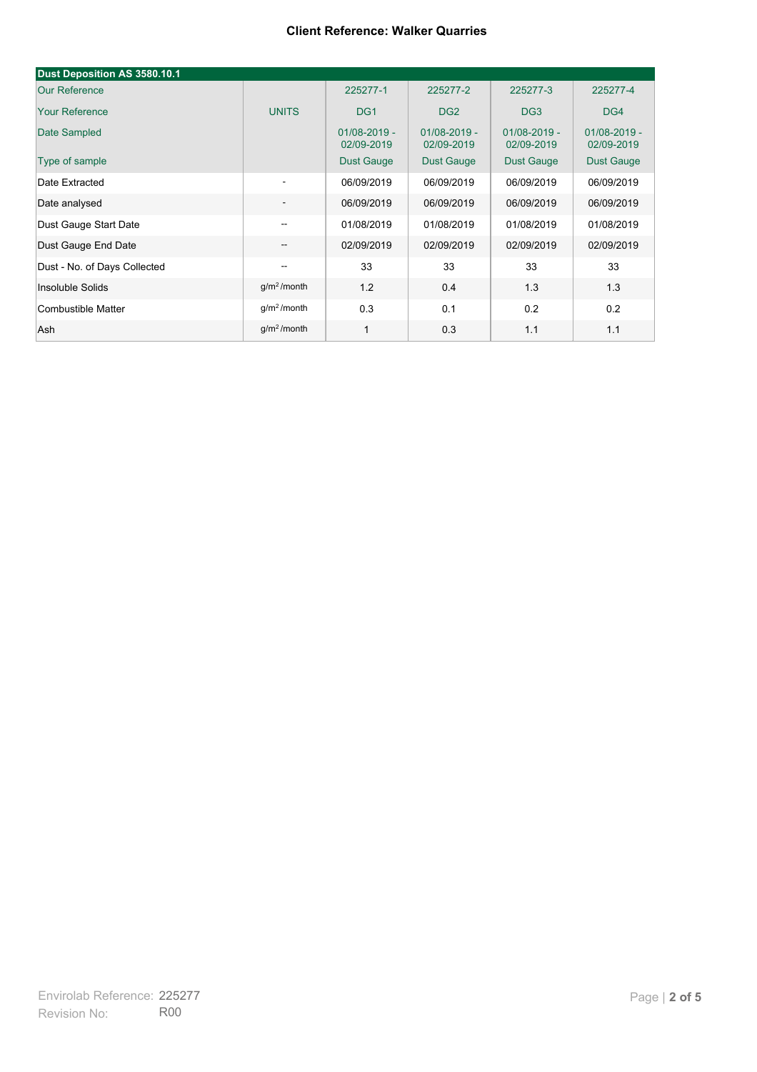#### **Client Reference: Walker Quarries**

| Dust Deposition AS 3580.10.1 |                          |                                |                                |                                |                                |
|------------------------------|--------------------------|--------------------------------|--------------------------------|--------------------------------|--------------------------------|
| <b>Our Reference</b>         |                          | 225277-1                       | 225277-2                       | 225277-3                       | 225277-4                       |
| <b>Your Reference</b>        | <b>UNITS</b>             | DG <sub>1</sub>                | DG <sub>2</sub>                | DG <sub>3</sub>                | DG4                            |
| Date Sampled                 |                          | $01/08 - 2019 -$<br>02/09-2019 | $01/08 - 2019 -$<br>02/09-2019 | $01/08 - 2019 -$<br>02/09-2019 | $01/08 - 2019 -$<br>02/09-2019 |
| Type of sample               |                          | <b>Dust Gauge</b>              | <b>Dust Gauge</b>              | <b>Dust Gauge</b>              | Dust Gauge                     |
| Date Extracted               | $\overline{\phantom{a}}$ | 06/09/2019                     | 06/09/2019                     | 06/09/2019                     | 06/09/2019                     |
| Date analysed                | -                        | 06/09/2019                     | 06/09/2019                     | 06/09/2019                     | 06/09/2019                     |
| Dust Gauge Start Date        | --                       | 01/08/2019                     | 01/08/2019                     | 01/08/2019                     | 01/08/2019                     |
| Dust Gauge End Date          | $\overline{\phantom{a}}$ | 02/09/2019                     | 02/09/2019                     | 02/09/2019                     | 02/09/2019                     |
| Dust - No. of Days Collected | $\overline{\phantom{m}}$ | 33                             | 33                             | 33                             | 33                             |
| Insoluble Solids             | g/m <sup>2</sup> /month  | 1.2                            | 0.4                            | 1.3                            | 1.3                            |
| Combustible Matter           | g/m <sup>2</sup> /month  | 0.3                            | 0.1                            | 0.2                            | 0.2                            |
| Ash                          | g/m <sup>2</sup> /month  | $\mathbf 1$                    | 0.3                            | 1.1                            | 1.1                            |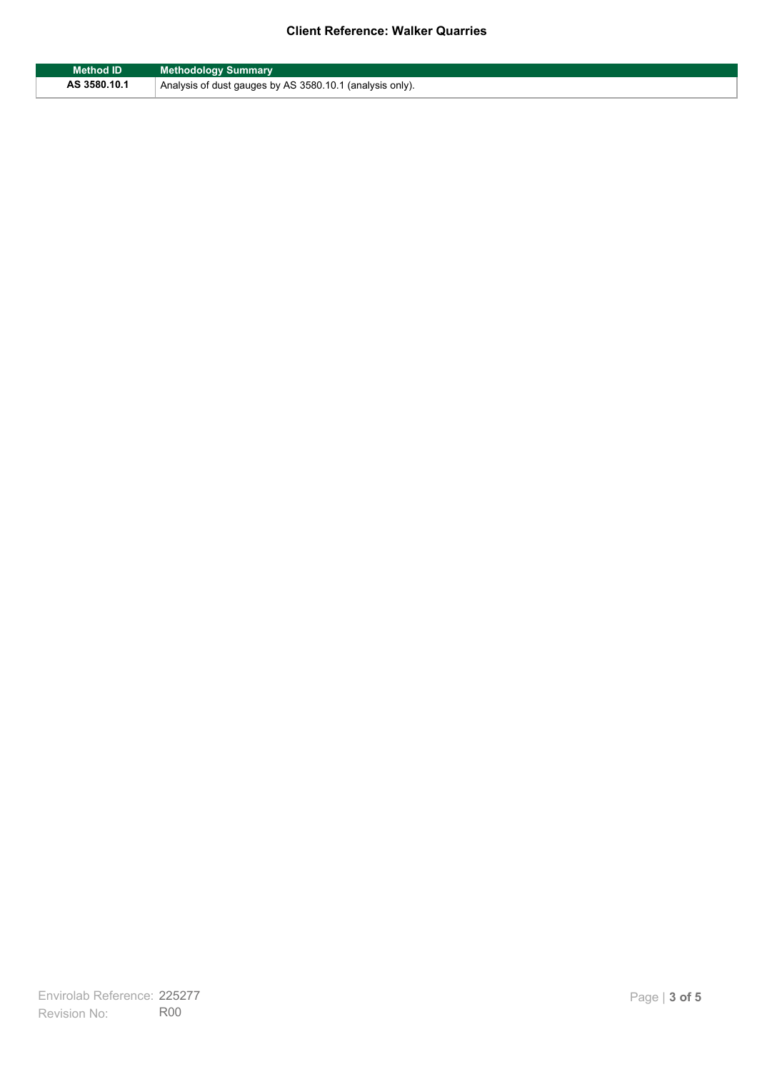### **Client Reference: Walker Quarries**

| <b>Method ID</b> | <b>Methodology Summary</b>                               |
|------------------|----------------------------------------------------------|
| AS 3580.10.1     | Analysis of dust gauges by AS 3580.10.1 (analysis only). |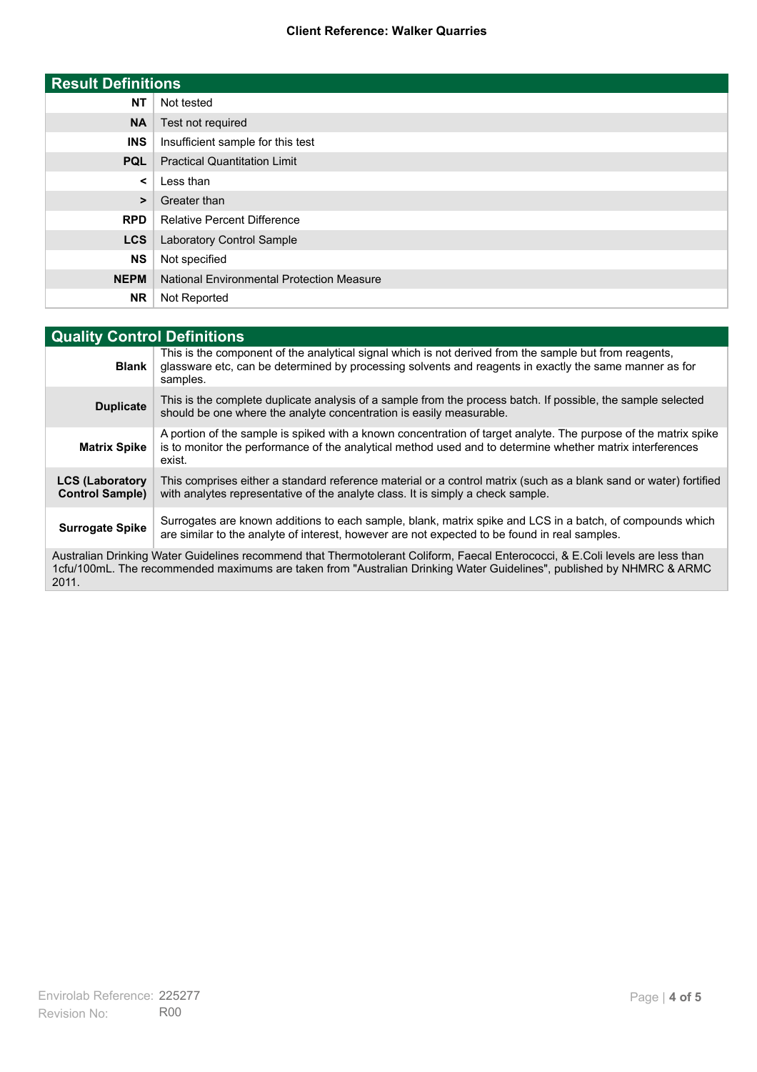#### **Client Reference: Walker Quarries**

| <b>Result Definitions</b> |                                                  |
|---------------------------|--------------------------------------------------|
| <b>NT</b>                 | Not tested                                       |
| <b>NA</b>                 | Test not required                                |
| <b>INS</b>                | Insufficient sample for this test                |
| <b>PQL</b>                | <b>Practical Quantitation Limit</b>              |
| $\prec$                   | Less than                                        |
| $\geq$                    | Greater than                                     |
| <b>RPD</b>                | <b>Relative Percent Difference</b>               |
| <b>LCS</b>                | Laboratory Control Sample                        |
| <b>NS</b>                 | Not specified                                    |
| <b>NEPM</b>               | <b>National Environmental Protection Measure</b> |
| <b>NR</b>                 | Not Reported                                     |

| <b>Quality Control Definitions</b>                                                                                                                                                                                                                      |                                                                                                                                                                                                                                        |
|---------------------------------------------------------------------------------------------------------------------------------------------------------------------------------------------------------------------------------------------------------|----------------------------------------------------------------------------------------------------------------------------------------------------------------------------------------------------------------------------------------|
| <b>Blank</b>                                                                                                                                                                                                                                            | This is the component of the analytical signal which is not derived from the sample but from reagents,<br>glassware etc, can be determined by processing solvents and reagents in exactly the same manner as for<br>samples.           |
| <b>Duplicate</b>                                                                                                                                                                                                                                        | This is the complete duplicate analysis of a sample from the process batch. If possible, the sample selected<br>should be one where the analyte concentration is easily measurable.                                                    |
| <b>Matrix Spike</b>                                                                                                                                                                                                                                     | A portion of the sample is spiked with a known concentration of target analyte. The purpose of the matrix spike<br>is to monitor the performance of the analytical method used and to determine whether matrix interferences<br>exist. |
| <b>LCS (Laboratory</b><br><b>Control Sample)</b>                                                                                                                                                                                                        | This comprises either a standard reference material or a control matrix (such as a blank sand or water) fortified<br>with analytes representative of the analyte class. It is simply a check sample.                                   |
| <b>Surrogate Spike</b>                                                                                                                                                                                                                                  | Surrogates are known additions to each sample, blank, matrix spike and LCS in a batch, of compounds which<br>are similar to the analyte of interest, however are not expected to be found in real samples.                             |
| Australian Drinking Water Guidelines recommend that Thermotolerant Coliform, Faecal Enterococci, & E.Coli levels are less than<br>1cfu/100mL. The recommended maximums are taken from "Australian Drinking Water Guidelines", published by NHMRC & ARMC |                                                                                                                                                                                                                                        |

2011.